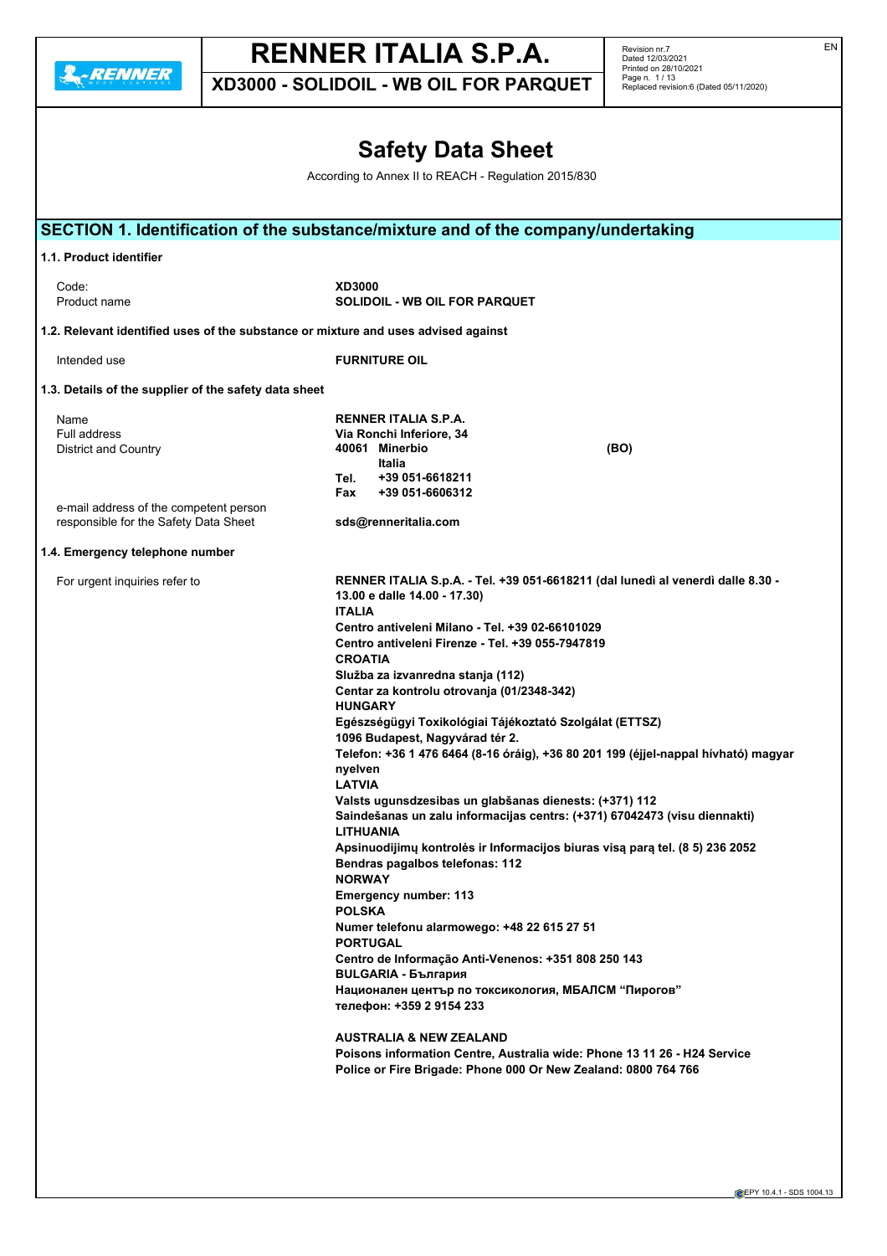**L-RENNER** 

# **RENNER ITALIA S.P.A.**

**XD3000 - SOLIDOIL - WB OIL FOR PARQUET**

Revision nr.7 Dated 12/03/2021 Printed on 28/10/2021 Page n. 1 / 13 Replaced revision:6 (Dated 05/11/2020)

EN

|                                                                                    | <b>Safety Data Sheet</b>                                                                                                                                                                                                                                                                                                                                                                                                                                                                                                                                                                                                                                                                                                                                                                                                                                                                                                                                                                                                                                                                                                                                                 |
|------------------------------------------------------------------------------------|--------------------------------------------------------------------------------------------------------------------------------------------------------------------------------------------------------------------------------------------------------------------------------------------------------------------------------------------------------------------------------------------------------------------------------------------------------------------------------------------------------------------------------------------------------------------------------------------------------------------------------------------------------------------------------------------------------------------------------------------------------------------------------------------------------------------------------------------------------------------------------------------------------------------------------------------------------------------------------------------------------------------------------------------------------------------------------------------------------------------------------------------------------------------------|
|                                                                                    | According to Annex II to REACH - Regulation 2015/830                                                                                                                                                                                                                                                                                                                                                                                                                                                                                                                                                                                                                                                                                                                                                                                                                                                                                                                                                                                                                                                                                                                     |
|                                                                                    | SECTION 1. Identification of the substance/mixture and of the company/undertaking                                                                                                                                                                                                                                                                                                                                                                                                                                                                                                                                                                                                                                                                                                                                                                                                                                                                                                                                                                                                                                                                                        |
| 1.1. Product identifier                                                            |                                                                                                                                                                                                                                                                                                                                                                                                                                                                                                                                                                                                                                                                                                                                                                                                                                                                                                                                                                                                                                                                                                                                                                          |
| Code:                                                                              | <b>XD3000</b>                                                                                                                                                                                                                                                                                                                                                                                                                                                                                                                                                                                                                                                                                                                                                                                                                                                                                                                                                                                                                                                                                                                                                            |
| Product name                                                                       | SOLIDOIL - WB OIL FOR PARQUET                                                                                                                                                                                                                                                                                                                                                                                                                                                                                                                                                                                                                                                                                                                                                                                                                                                                                                                                                                                                                                                                                                                                            |
| 1.2. Relevant identified uses of the substance or mixture and uses advised against |                                                                                                                                                                                                                                                                                                                                                                                                                                                                                                                                                                                                                                                                                                                                                                                                                                                                                                                                                                                                                                                                                                                                                                          |
| Intended use                                                                       | <b>FURNITURE OIL</b>                                                                                                                                                                                                                                                                                                                                                                                                                                                                                                                                                                                                                                                                                                                                                                                                                                                                                                                                                                                                                                                                                                                                                     |
| 1.3. Details of the supplier of the safety data sheet                              |                                                                                                                                                                                                                                                                                                                                                                                                                                                                                                                                                                                                                                                                                                                                                                                                                                                                                                                                                                                                                                                                                                                                                                          |
| Name                                                                               | RENNER ITALIA S.P.A.                                                                                                                                                                                                                                                                                                                                                                                                                                                                                                                                                                                                                                                                                                                                                                                                                                                                                                                                                                                                                                                                                                                                                     |
| Full address                                                                       | Via Ronchi Inferiore, 34                                                                                                                                                                                                                                                                                                                                                                                                                                                                                                                                                                                                                                                                                                                                                                                                                                                                                                                                                                                                                                                                                                                                                 |
| <b>District and Country</b>                                                        | 40061 Minerbio<br>(BO)                                                                                                                                                                                                                                                                                                                                                                                                                                                                                                                                                                                                                                                                                                                                                                                                                                                                                                                                                                                                                                                                                                                                                   |
|                                                                                    | Italia<br>+39 051-6618211<br>Tel.                                                                                                                                                                                                                                                                                                                                                                                                                                                                                                                                                                                                                                                                                                                                                                                                                                                                                                                                                                                                                                                                                                                                        |
|                                                                                    | Fax<br>+39 051-6606312                                                                                                                                                                                                                                                                                                                                                                                                                                                                                                                                                                                                                                                                                                                                                                                                                                                                                                                                                                                                                                                                                                                                                   |
| e-mail address of the competent person<br>responsible for the Safety Data Sheet    | sds@renneritalia.com                                                                                                                                                                                                                                                                                                                                                                                                                                                                                                                                                                                                                                                                                                                                                                                                                                                                                                                                                                                                                                                                                                                                                     |
| 1.4. Emergency telephone number                                                    |                                                                                                                                                                                                                                                                                                                                                                                                                                                                                                                                                                                                                                                                                                                                                                                                                                                                                                                                                                                                                                                                                                                                                                          |
| For urgent inquiries refer to                                                      | RENNER ITALIA S.p.A. - Tel. +39 051-6618211 (dal lunedì al venerdì dalle 8.30 -<br>13.00 e dalle 14.00 - 17.30)<br><b>ITALIA</b><br>Centro antiveleni Milano - Tel. +39 02-66101029<br>Centro antiveleni Firenze - Tel. +39 055-7947819<br><b>CROATIA</b><br>Služba za izvanredna stanja (112)<br>Centar za kontrolu otrovanja (01/2348-342)<br><b>HUNGARY</b><br>Egészségügyi Toxikológiai Tájékoztató Szolgálat (ETTSZ)<br>1096 Budapest, Nagyvárad tér 2.<br>Telefon: +36 1 476 6464 (8-16 óráig), +36 80 201 199 (éjjel-nappal hívható) magyar<br>nyelven<br><b>LATVIA</b><br>Valsts ugunsdzesibas un glabšanas dienests: (+371) 112<br>Saindešanas un zalu informacijas centrs: (+371) 67042473 (visu diennakti)<br><b>LITHUANIA</b><br>Apsinuodijimų kontrolės ir Informacijos biuras visą parą tel. (8 5) 236 2052<br>Bendras pagalbos telefonas: 112<br><b>NORWAY</b><br><b>Emergency number: 113</b><br><b>POLSKA</b><br>Numer telefonu alarmowego: +48 22 615 27 51<br><b>PORTUGAL</b><br>Centro de Informação Anti-Venenos: +351 808 250 143<br><b>BULGARIA - България</b><br>Национален център по токсикология, МБАЛСМ "Пирогов"<br>телефон: +359 2 9154 233 |
|                                                                                    | <b>AUSTRALIA &amp; NEW ZEALAND</b>                                                                                                                                                                                                                                                                                                                                                                                                                                                                                                                                                                                                                                                                                                                                                                                                                                                                                                                                                                                                                                                                                                                                       |
|                                                                                    | Poisons information Centre, Australia wide: Phone 13 11 26 - H24 Service<br>Police or Fire Brigade: Phone 000 Or New Zealand: 0800 764 766                                                                                                                                                                                                                                                                                                                                                                                                                                                                                                                                                                                                                                                                                                                                                                                                                                                                                                                                                                                                                               |

**CEPY 10.4.1 - SDS 1004.13**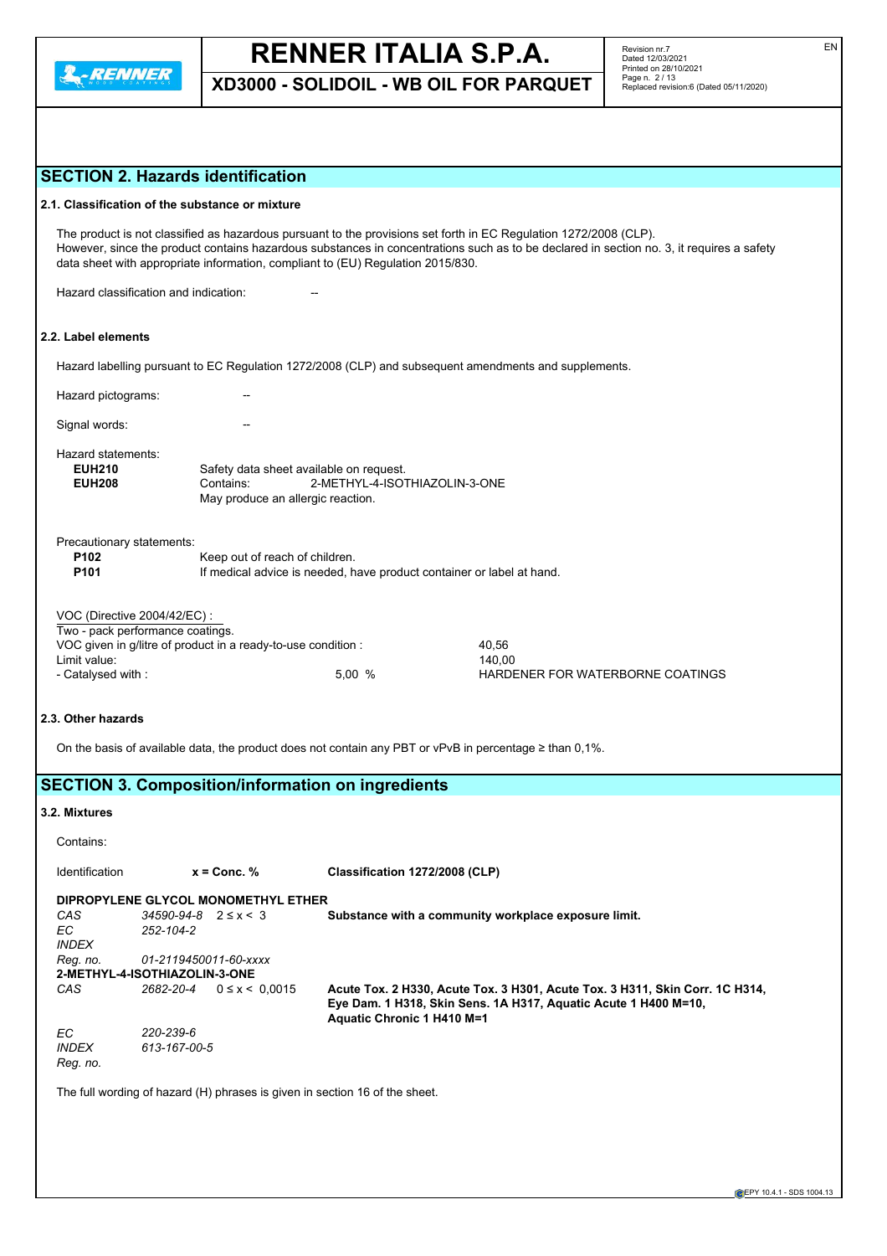

**XD3000 - SOLIDOIL - WB OIL FOR PARQUET**

## **SECTION 2. Hazards identification**

### **2.1. Classification of the substance or mixture**

The product is not classified as hazardous pursuant to the provisions set forth in EC Regulation 1272/2008 (CLP). However, since the product contains hazardous substances in concentrations such as to be declared in section no. 3, it requires a safety data sheet with appropriate information, compliant to (EU) Regulation 2015/830.

Hazard classification and indication:

### **2.2. Label elements**

Hazard labelling pursuant to EC Regulation 1272/2008 (CLP) and subsequent amendments and supplements.

Hazard pictograms: --

Signal words:

Hazard statements:

| <b>EUH210</b> | Safety data sheet available on request. |                               |  |  |
|---------------|-----------------------------------------|-------------------------------|--|--|
| <b>EUH208</b> | Contains:                               | 2-METHYL-4-ISOTHIAZOLIN-3-ONE |  |  |
|               | May produce an allergic reaction.       |                               |  |  |

| Precautionary statements: |                                                                       |
|---------------------------|-----------------------------------------------------------------------|
| P <sub>102</sub>          | Keep out of reach of children.                                        |
| P <sub>101</sub>          | If medical advice is needed, have product container or label at hand. |
|                           |                                                                       |

| VOC (Directive 2004/42/EC) :<br>Two - pack performance coatings. |       |                                  |
|------------------------------------------------------------------|-------|----------------------------------|
| VOC given in g/litre of product in a ready-to-use condition :    |       | 40.56                            |
| Limit value:                                                     |       | 140.00                           |
| - Catalysed with:                                                | 5.00% | HARDENER FOR WATERBORNE COATINGS |
|                                                                  |       |                                  |

### **2.3. Other hazards**

On the basis of available data, the product does not contain any PBT or vPvB in percentage ≥ than 0,1%.

## **SECTION 3. Composition/information on ingredients**

### **3.2. Mixtures**

Contains:

| Identification           | $x =$ Conc. $%$                     | Classification 1272/2008 (CLP)                                                                                                                                                |
|--------------------------|-------------------------------------|-------------------------------------------------------------------------------------------------------------------------------------------------------------------------------|
|                          | DIPROPYLENE GLYCOL MONOMETHYL ETHER |                                                                                                                                                                               |
| CAS                      | $34590 - 94 - 8$ $2 \le x < 3$      | Substance with a community workplace exposure limit.                                                                                                                          |
| EC.                      | 252-104-2                           |                                                                                                                                                                               |
| <i><b>INDEX</b></i>      |                                     |                                                                                                                                                                               |
| Reg. no.                 | 01-2119450011-60-xxxx               |                                                                                                                                                                               |
|                          | 2-METHYL-4-ISOTHIAZOLIN-3-ONE       |                                                                                                                                                                               |
| CAS                      | 2682-20-4<br>$0 \leq x \leq 0.0015$ | Acute Tox. 2 H330, Acute Tox. 3 H301, Acute Tox. 3 H311, Skin Corr. 1C H314,<br>Eye Dam. 1 H318, Skin Sens. 1A H317, Aquatic Acute 1 H400 M=10,<br>Aquatic Chronic 1 H410 M=1 |
| EC.                      | 220-239-6                           |                                                                                                                                                                               |
| <b>INDEX</b><br>Reg. no. | 613-167-00-5                        |                                                                                                                                                                               |

The full wording of hazard (H) phrases is given in section 16 of the sheet.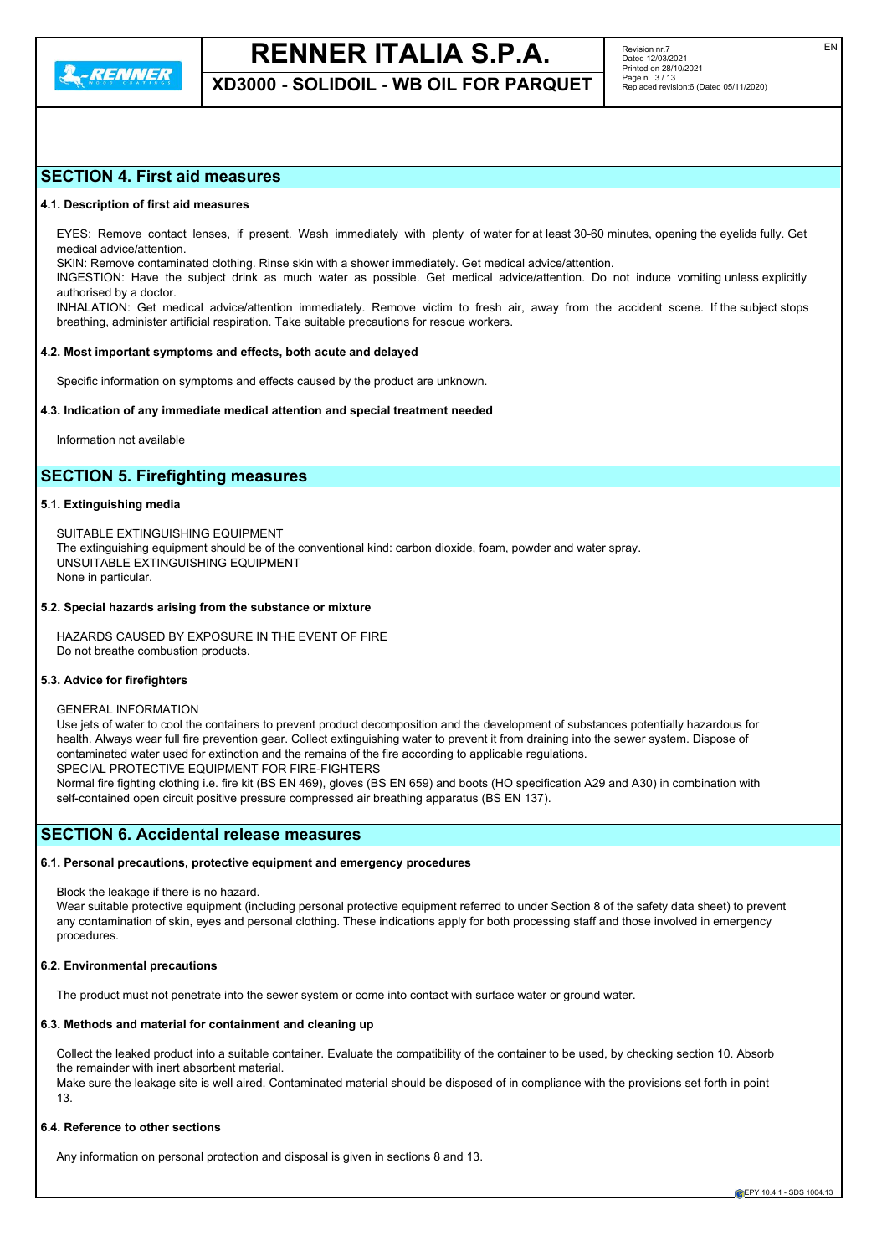

**XD3000 - SOLIDOIL - WB OIL FOR PARQUET**

## **SECTION 4. First aid measures**

### **4.1. Description of first aid measures**

EYES: Remove contact lenses, if present. Wash immediately with plenty of water for at least 30-60 minutes, opening the eyelids fully. Get medical advice/attention.

SKIN: Remove contaminated clothing. Rinse skin with a shower immediately. Get medical advice/attention.

INGESTION: Have the subject drink as much water as possible. Get medical advice/attention. Do not induce vomiting unless explicitly authorised by a doctor.

INHALATION: Get medical advice/attention immediately. Remove victim to fresh air, away from the accident scene. If the subject stops breathing, administer artificial respiration. Take suitable precautions for rescue workers.

### **4.2. Most important symptoms and effects, both acute and delayed**

Specific information on symptoms and effects caused by the product are unknown.

### **4.3. Indication of any immediate medical attention and special treatment needed**

Information not available

## **SECTION 5. Firefighting measures**

### **5.1. Extinguishing media**

SUITABLE EXTINGUISHING EQUIPMENT The extinguishing equipment should be of the conventional kind: carbon dioxide, foam, powder and water spray. UNSUITABLE EXTINGUISHING EQUIPMENT None in particular.

### **5.2. Special hazards arising from the substance or mixture**

HAZARDS CAUSED BY EXPOSURE IN THE EVENT OF FIRE Do not breathe combustion products.

### **5.3. Advice for firefighters**

#### GENERAL INFORMATION

Use jets of water to cool the containers to prevent product decomposition and the development of substances potentially hazardous for health. Always wear full fire prevention gear. Collect extinguishing water to prevent it from draining into the sewer system. Dispose of contaminated water used for extinction and the remains of the fire according to applicable regulations. SPECIAL PROTECTIVE EQUIPMENT FOR FIRE-FIGHTERS Normal fire fighting clothing i.e. fire kit (BS EN 469), gloves (BS EN 659) and boots (HO specification A29 and A30) in combination with

self-contained open circuit positive pressure compressed air breathing apparatus (BS EN 137).

### **SECTION 6. Accidental release measures**

### **6.1. Personal precautions, protective equipment and emergency procedures**

Block the leakage if there is no hazard.

Wear suitable protective equipment (including personal protective equipment referred to under Section 8 of the safety data sheet) to prevent any contamination of skin, eyes and personal clothing. These indications apply for both processing staff and those involved in emergency procedures.

### **6.2. Environmental precautions**

The product must not penetrate into the sewer system or come into contact with surface water or ground water.

### **6.3. Methods and material for containment and cleaning up**

Collect the leaked product into a suitable container. Evaluate the compatibility of the container to be used, by checking section 10. Absorb the remainder with inert absorbent material.

Make sure the leakage site is well aired. Contaminated material should be disposed of in compliance with the provisions set forth in point 13.

### **6.4. Reference to other sections**

Any information on personal protection and disposal is given in sections 8 and 13.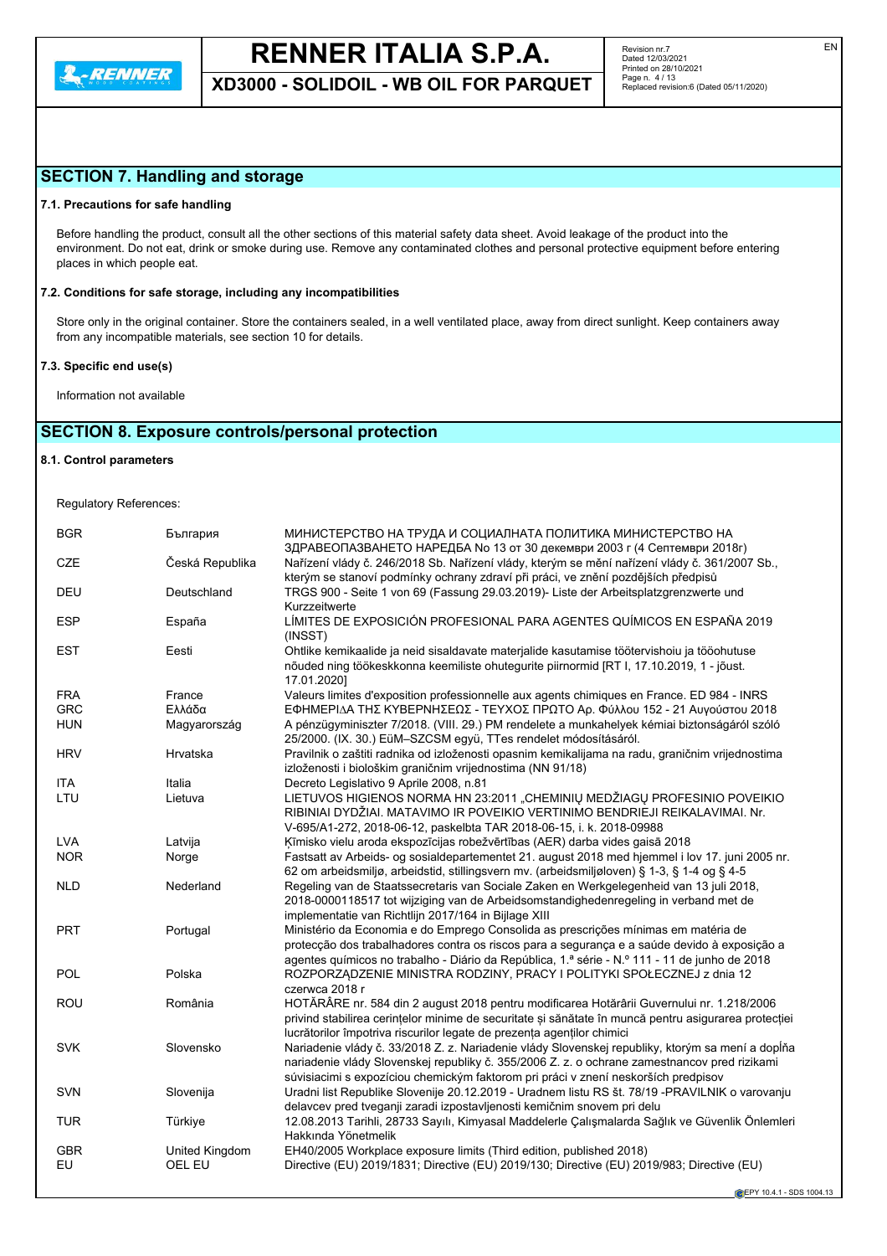**XD3000 - SOLIDOIL - WB OIL FOR PARQUET**

## **SECTION 7. Handling and storage**

### **7.1. Precautions for safe handling**

Before handling the product, consult all the other sections of this material safety data sheet. Avoid leakage of the product into the environment. Do not eat, drink or smoke during use. Remove any contaminated clothes and personal protective equipment before entering places in which people eat.

### **7.2. Conditions for safe storage, including any incompatibilities**

Store only in the original container. Store the containers sealed, in a well ventilated place, away from direct sunlight. Keep containers away from any incompatible materials, see section 10 for details.

### **7.3. Specific end use(s)**

Information not available

## **SECTION 8. Exposure controls/personal protection**

### **8.1. Control parameters**

Regulatory References:

| България        | МИНИСТЕРСТВО НА ТРУДА И СОЦИАЛНАТА ПОЛИТИКА МИНИСТЕРСТВО НА<br>ЗДРАВЕОПАЗВАНЕТО НАРЕДБА No 13 от 30 декември 2003 г (4 Септември 2018г)                                                                                                                                                |
|-----------------|----------------------------------------------------------------------------------------------------------------------------------------------------------------------------------------------------------------------------------------------------------------------------------------|
| Česká Republika | Nařízení vlády č. 246/2018 Sb. Nařízení vlády, kterým se mění nařízení vlády č. 361/2007 Sb.,<br>kterým se stanoví podmínky ochrany zdraví při práci, ve znění pozdějších předpisů                                                                                                     |
| Deutschland     | TRGS 900 - Seite 1 von 69 (Fassung 29.03.2019)- Liste der Arbeitsplatzgrenzwerte und<br>Kurzzeitwerte                                                                                                                                                                                  |
| España          | LÍMITES DE EXPOSICIÓN PROFESIONAL PARA AGENTES QUÍMICOS EN ESPAÑA 2019<br>(INSST)                                                                                                                                                                                                      |
| Eesti           | Ohtlike kemikaalide ja neid sisaldavate materjalide kasutamise töötervishoiu ja tööohutuse<br>nõuded ning töökeskkonna keemiliste ohutegurite piirnormid [RT I, 17.10.2019, 1 - jõust.<br>17.01.2020]                                                                                  |
| France          | Valeurs limites d'exposition professionnelle aux agents chimiques en France. ED 984 - INRS                                                                                                                                                                                             |
| Ελλάδα          | ΕΦΗΜΕΡΙΔΑ ΤΗΣ ΚΥΒΕΡΝΗΣΕΩΣ - ΤΕΥΧΟΣ ΠΡΩΤΟ Αρ. Φύλλου 152 - 21 Αυγούστου 2018                                                                                                                                                                                                            |
| Magyarország    | A pénzügyminiszter 7/2018. (VIII. 29.) PM rendelete a munkahelyek kémiai biztonságáról szóló<br>25/2000. (IX. 30.) EüM-SZCSM együ, TTes rendelet módosításáról.                                                                                                                        |
| Hrvatska        | Pravilnik o zaštiti radnika od izloženosti opasnim kemikalijama na radu, graničnim vrijednostima<br>izloženosti i biološkim graničnim vrijednostima (NN 91/18)                                                                                                                         |
| Italia          | Decreto Legislativo 9 Aprile 2008, n.81                                                                                                                                                                                                                                                |
| Lietuva         | LIETUVOS HIGIENOS NORMA HN 23:2011 "CHEMINIŲ MEDŽIAGŲ PROFESINIO POVEIKIO<br>RIBINIAI DYDŽIAI. MATAVIMO IR POVEIKIO VERTINIMO BENDRIEJI REIKALAVIMAI. Nr.<br>V-695/A1-272, 2018-06-12, paskelbta TAR 2018-06-15, i. k. 2018-09988                                                      |
| Latvija         | Kīmisko vielu aroda ekspozīcijas robežvērtības (AER) darba vides gaisā 2018                                                                                                                                                                                                            |
| Norge           | Fastsatt av Arbeids- og sosialdepartementet 21. august 2018 med hjemmel i lov 17. juni 2005 nr.<br>62 om arbeidsmiljø, arbeidstid, stillingsvern mv. (arbeidsmiljøloven) § 1-3, § 1-4 og § 4-5                                                                                         |
| Nederland       | Regeling van de Staatssecretaris van Sociale Zaken en Werkgelegenheid van 13 juli 2018,<br>2018-0000118517 tot wijziging van de Arbeidsomstandighedenregeling in verband met de<br>implementatie van Richtlijn 2017/164 in Bijlage XIII                                                |
| Portugal        | Ministério da Economia e do Emprego Consolida as prescrições mínimas em matéria de<br>protecção dos trabalhadores contra os riscos para a segurança e a saúde devido à exposição a<br>agentes químicos no trabalho - Diário da República, 1.ª série - N.º 111 - 11 de junho de 2018    |
| Polska          | ROZPORZĄDZENIE MINISTRA RODZINY, PRACY I POLITYKI SPOŁECZNEJ z dnia 12<br>czerwca 2018 r                                                                                                                                                                                               |
| România         | HOTĂRÂRE nr. 584 din 2 august 2018 pentru modificarea Hotărârii Guvernului nr. 1.218/2006<br>privind stabilirea cerințelor minime de securitate și sănătate în muncă pentru asigurarea protecției<br>lucrătorilor împotriva riscurilor legate de prezența agenților chimici            |
| Slovensko       | Nariadenie vlády č. 33/2018 Z. z. Nariadenie vlády Slovenskej republiky, ktorým sa mení a dopĺňa<br>nariadenie vlády Slovenskej republiky č. 355/2006 Z. z. o ochrane zamestnancov pred rizikami<br>súvisiacimi s expozíciou chemickým faktorom pri práci v znení neskorších predpisov |
| Slovenija       | Uradni list Republike Slovenije 20.12.2019 - Uradnem listu RS št. 78/19 -PRAVILNIK o varovanju<br>delavcev pred tveganji zaradi izpostavljenosti kemičnim snovem pri delu                                                                                                              |
| Türkiye         | 12.08.2013 Tarihli, 28733 Sayılı, Kimyasal Maddelerle Çalışmalarda Sağlık ve Güvenlik Önlemleri<br>Hakkında Yönetmelik                                                                                                                                                                 |
| United Kingdom  | EH40/2005 Workplace exposure limits (Third edition, published 2018)                                                                                                                                                                                                                    |
| OEL EU          | Directive (EU) 2019/1831; Directive (EU) 2019/130; Directive (EU) 2019/983; Directive (EU)                                                                                                                                                                                             |
|                 |                                                                                                                                                                                                                                                                                        |

**C**EPY 10.4.1 - SDS 1004.13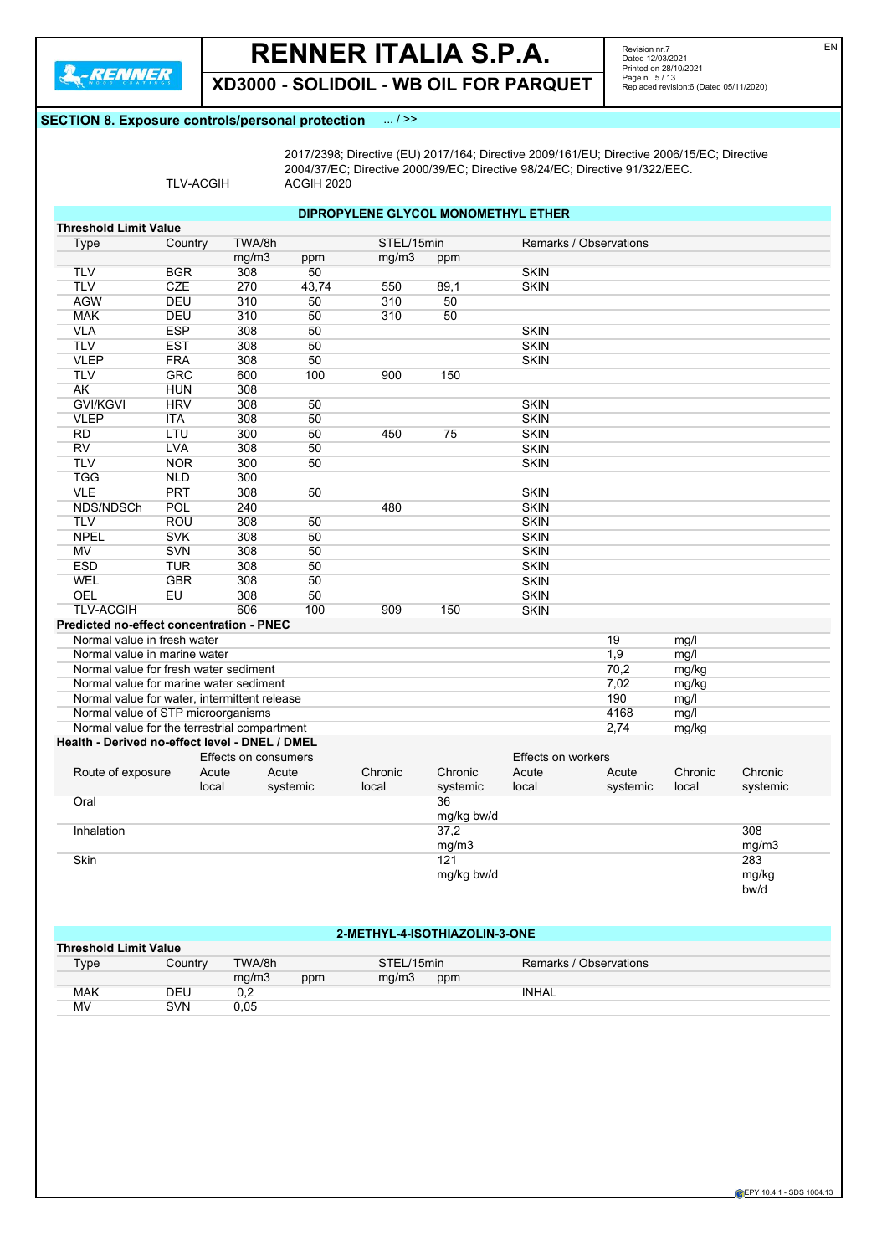**L. RENNER** 

# **RENNER ITALIA S.P.A.**

Revision nr.7 Dated 12/03/2021 Printed on 28/10/2021 Page n. 5 / 13 Replaced revision:6 (Dated 05/11/2020)

## **XD3000 - SOLIDOIL - WB OIL FOR PARQUET**

### **SECTION 8. Exposure controls/personal protection** ... / >>

2017/2398; Directive (EU) 2017/164; Directive 2009/161/EU; Directive 2006/15/EC; Directive 2004/37/EC; Directive 2000/39/EC; Directive 98/24/EC; Directive 91/322/EEC. TLV-ACGIH ACGIH 2020

|                                                 | DIPROPYLENE GLYCOL MONOMETHYL ETHER |                      |          |            |            |                           |                        |         |          |
|-------------------------------------------------|-------------------------------------|----------------------|----------|------------|------------|---------------------------|------------------------|---------|----------|
| <b>Threshold Limit Value</b>                    |                                     |                      |          |            |            |                           |                        |         |          |
| <b>Type</b>                                     | Country                             | TWA/8h               |          | STEL/15min |            |                           | Remarks / Observations |         |          |
|                                                 |                                     | mg/m3                | ppm      | mg/m3      | ppm        |                           |                        |         |          |
| <b>TLV</b>                                      | <b>BGR</b>                          | 308                  | 50       |            |            | <b>SKIN</b>               |                        |         |          |
| <b>TLV</b>                                      | <b>CZE</b>                          | 270                  | 43,74    | 550        | 89,1       | <b>SKIN</b>               |                        |         |          |
| <b>AGW</b>                                      | DEU                                 | 310                  | 50       | 310        | 50         |                           |                        |         |          |
| <b>MAK</b>                                      | <b>DEU</b>                          | 310                  | 50       | 310        | 50         |                           |                        |         |          |
| <b>VLA</b>                                      | <b>ESP</b>                          | 308                  | 50       |            |            | <b>SKIN</b>               |                        |         |          |
| <b>TLV</b>                                      | <b>EST</b>                          | 308                  | 50       |            |            | <b>SKIN</b>               |                        |         |          |
| <b>VLEP</b>                                     | <b>FRA</b>                          | 308                  | 50       |            |            | <b>SKIN</b>               |                        |         |          |
| <b>TLV</b>                                      | <b>GRC</b>                          | 600                  | 100      | 900        | 150        |                           |                        |         |          |
| <b>AK</b>                                       | <b>HUN</b>                          | 308                  |          |            |            |                           |                        |         |          |
| <b>GVI/KGVI</b>                                 | <b>HRV</b>                          | 308                  | 50       |            |            | <b>SKIN</b>               |                        |         |          |
| <b>VLEP</b>                                     | <b>ITA</b>                          | 308                  | 50       |            |            | <b>SKIN</b>               |                        |         |          |
| <b>RD</b>                                       | LTU                                 | 300                  | 50       | 450        | 75         | <b>SKIN</b>               |                        |         |          |
| <b>RV</b>                                       | <b>LVA</b>                          | 308                  | 50       |            |            | <b>SKIN</b>               |                        |         |          |
| <b>TLV</b>                                      | <b>NOR</b>                          | 300                  | 50       |            |            | <b>SKIN</b>               |                        |         |          |
| <b>TGG</b>                                      | <b>NLD</b>                          | 300                  |          |            |            |                           |                        |         |          |
| <b>VLE</b>                                      | <b>PRT</b>                          | 308                  | 50       |            |            | <b>SKIN</b>               |                        |         |          |
| NDS/NDSCh                                       | <b>POL</b>                          | 240                  |          | 480        |            | <b>SKIN</b>               |                        |         |          |
| <b>TLV</b>                                      | <b>ROU</b>                          | 308                  | 50       |            |            | <b>SKIN</b>               |                        |         |          |
| <b>NPEL</b>                                     | <b>SVK</b>                          | 308                  | 50       |            |            | <b>SKIN</b>               |                        |         |          |
| MV                                              | SVN                                 | 308                  | 50       |            |            | <b>SKIN</b>               |                        |         |          |
| <b>ESD</b>                                      | <b>TUR</b>                          | 308                  | 50       |            |            | <b>SKIN</b>               |                        |         |          |
| <b>WEL</b>                                      | <b>GBR</b>                          | 308                  | 50       |            |            | <b>SKIN</b>               |                        |         |          |
| <b>OEL</b>                                      | EU                                  | 308                  | 50       |            |            | <b>SKIN</b>               |                        |         |          |
| <b>TLV-ACGIH</b>                                |                                     | 606                  | 100      | 909        | 150        | <b>SKIN</b>               |                        |         |          |
| <b>Predicted no-effect concentration - PNEC</b> |                                     |                      |          |            |            |                           |                        |         |          |
| Normal value in fresh water                     |                                     |                      |          |            |            |                           | 19                     | mg/l    |          |
| Normal value in marine water                    |                                     |                      |          |            |            |                           | 1,9                    | mg/l    |          |
| Normal value for fresh water sediment           |                                     |                      |          |            |            |                           | 70,2                   | mg/kg   |          |
| Normal value for marine water sediment          |                                     |                      |          |            |            |                           | 7,02                   | mg/kg   |          |
| Normal value for water, intermittent release    |                                     |                      |          |            |            |                           | 190                    | mg/l    |          |
| Normal value of STP microorganisms              |                                     |                      |          |            |            |                           | 4168                   | mg/l    |          |
|                                                 |                                     |                      |          |            |            |                           |                        |         |          |
| Normal value for the terrestrial compartment    |                                     |                      |          |            |            |                           | 2,74                   | mg/kg   |          |
| Health - Derived no-effect level - DNEL / DMEL  |                                     |                      |          |            |            |                           |                        |         |          |
|                                                 |                                     | Effects on consumers |          |            |            | <b>Effects on workers</b> |                        |         |          |
| Route of exposure                               | Acute                               | Acute                |          | Chronic    | Chronic    | Acute                     | Acute                  | Chronic | Chronic  |
|                                                 | local                               |                      | systemic | local      | systemic   | local                     | systemic               | local   | systemic |
| Oral                                            |                                     |                      |          |            | 36         |                           |                        |         |          |
|                                                 |                                     |                      |          |            | mg/kg bw/d |                           |                        |         |          |
| Inhalation                                      |                                     |                      |          |            | 37,2       |                           |                        |         | 308      |
|                                                 |                                     |                      |          |            | mg/m3      |                           |                        |         | mg/m3    |
| <b>Skin</b>                                     |                                     |                      |          |            | 121        |                           |                        |         | 283      |
|                                                 |                                     |                      |          |            | mg/kg bw/d |                           |                        |         | mg/kg    |
|                                                 |                                     |                      |          |            |            |                           |                        |         | bw/d     |

### **2-METHYL-4-ISOTHIAZOLIN-3-ONE Threshold Limit Value** TWA/8h STEL/15min Remarks / Observations<br>mg/m3 ppm mg/m3 ppm mg/m3 ppm mg/m3 ppm MAK DEU 0,2 INHAL MV SVN 0,05

EN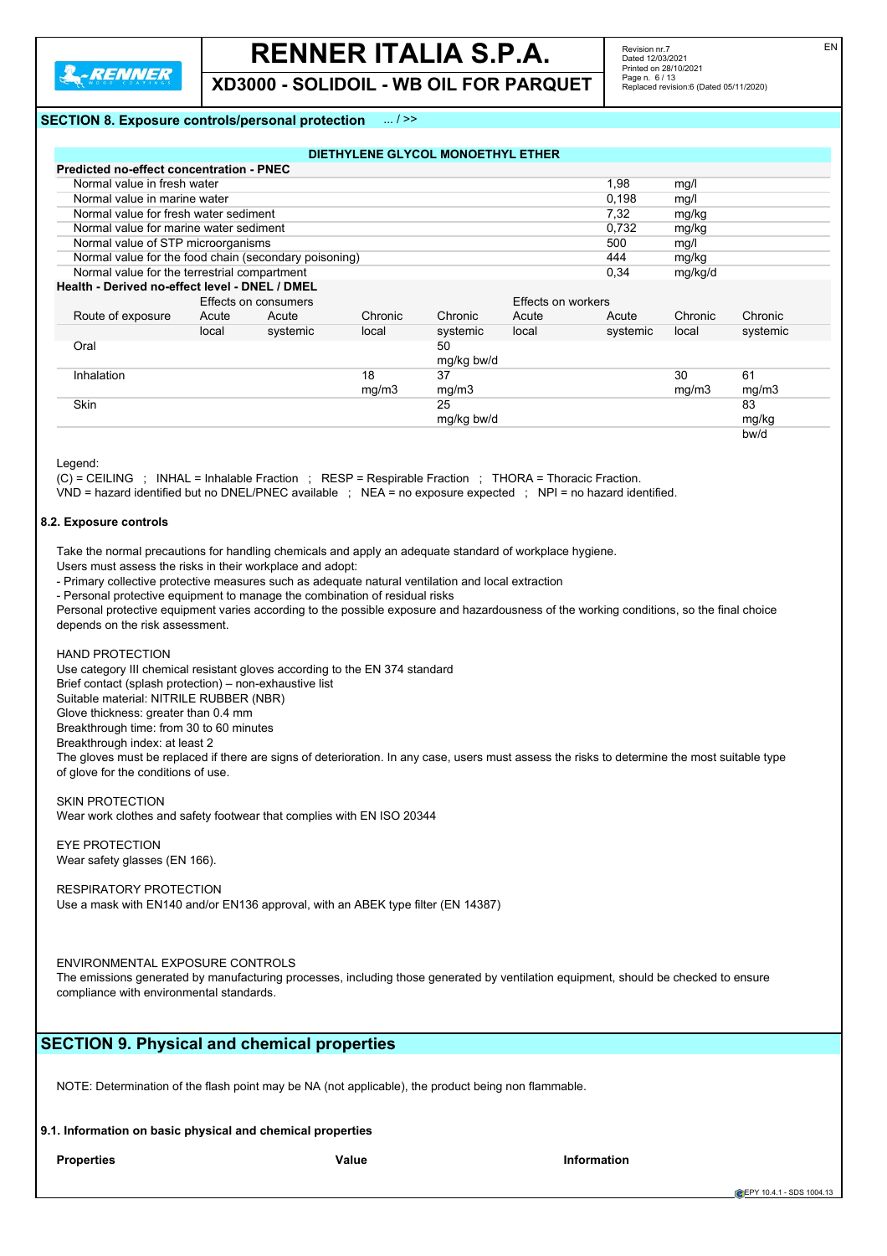

**XD3000 - SOLIDOIL - WB OIL FOR PARQUET**

### **SECTION 8. Exposure controls/personal protection** ... / >>

### **DIETHYLENE GLYCOL MONOETHYL ETHER**

| <b>Predicted no-effect concentration - PNEC</b>       |       |                      |         |            |                    |          |         |          |
|-------------------------------------------------------|-------|----------------------|---------|------------|--------------------|----------|---------|----------|
| Normal value in fresh water                           |       |                      |         |            |                    | 1,98     | mg/     |          |
| Normal value in marine water                          |       |                      |         |            |                    | 0,198    | mg/     |          |
| Normal value for fresh water sediment                 |       |                      |         |            |                    | 7,32     | mg/kg   |          |
| Normal value for marine water sediment                |       |                      |         |            |                    | 0.732    | mg/kg   |          |
| Normal value of STP microorganisms                    |       |                      |         |            |                    | 500      | mg/l    |          |
| Normal value for the food chain (secondary poisoning) |       |                      |         |            |                    | 444      | mg/kg   |          |
| Normal value for the terrestrial compartment          |       |                      |         |            |                    | 0,34     | mg/kg/d |          |
| Health - Derived no-effect level - DNEL / DMEL        |       |                      |         |            |                    |          |         |          |
|                                                       |       | Effects on consumers |         |            | Effects on workers |          |         |          |
| Route of exposure                                     | Acute | Acute                | Chronic | Chronic    | Acute              | Acute    | Chronic | Chronic  |
|                                                       | local | systemic             | local   | systemic   | local              | systemic | local   | systemic |
| Oral                                                  |       |                      |         | 50         |                    |          |         |          |
|                                                       |       |                      |         | mg/kg bw/d |                    |          |         |          |
| Inhalation                                            |       |                      | 18      | 37         |                    |          | 30      | 61       |
|                                                       |       |                      | mg/m3   | mg/m3      |                    |          | mg/m3   | mg/m3    |
| Skin                                                  |       |                      |         | 25         |                    |          |         | 83       |
|                                                       |       |                      |         | mg/kg bw/d |                    |          |         | mg/kg    |
|                                                       |       |                      |         |            |                    |          |         | bw/d     |

Legend:

(C) = CEILING ; INHAL = Inhalable Fraction ; RESP = Respirable Fraction ; THORA = Thoracic Fraction.

VND = hazard identified but no DNEL/PNEC available ; NEA = no exposure expected ; NPI = no hazard identified.

#### **8.2. Exposure controls**

Take the normal precautions for handling chemicals and apply an adequate standard of workplace hygiene.

Users must assess the risks in their workplace and adopt:

- Primary collective protective measures such as adequate natural ventilation and local extraction

- Personal protective equipment to manage the combination of residual risks

Personal protective equipment varies according to the possible exposure and hazardousness of the working conditions, so the final choice depends on the risk assessment.

### HAND PROTECTION

Use category III chemical resistant gloves according to the EN 374 standard Brief contact (splash protection) – non-exhaustive list Suitable material: NITRILE RUBBER (NBR) Glove thickness: greater than 0.4 mm Breakthrough time: from 30 to 60 minutes Breakthrough index: at least 2 The gloves must be replaced if there are signs of deterioration. In any case, users must assess the risks to determine the most suitable type of glove for the conditions of use.

SKIN PROTECTION Wear work clothes and safety footwear that complies with EN ISO 20344

EYE PROTECTION Wear safety glasses (EN 166).

### RESPIRATORY PROTECTION

Use a mask with EN140 and/or EN136 approval, with an ABEK type filter (EN 14387)

### ENVIRONMENTAL EXPOSURE CONTROLS

The emissions generated by manufacturing processes, including those generated by ventilation equipment, should be checked to ensure compliance with environmental standards.

## **SECTION 9. Physical and chemical properties**

NOTE: Determination of the flash point may be NA (not applicable), the product being non flammable.

#### **9.1. Information on basic physical and chemical properties**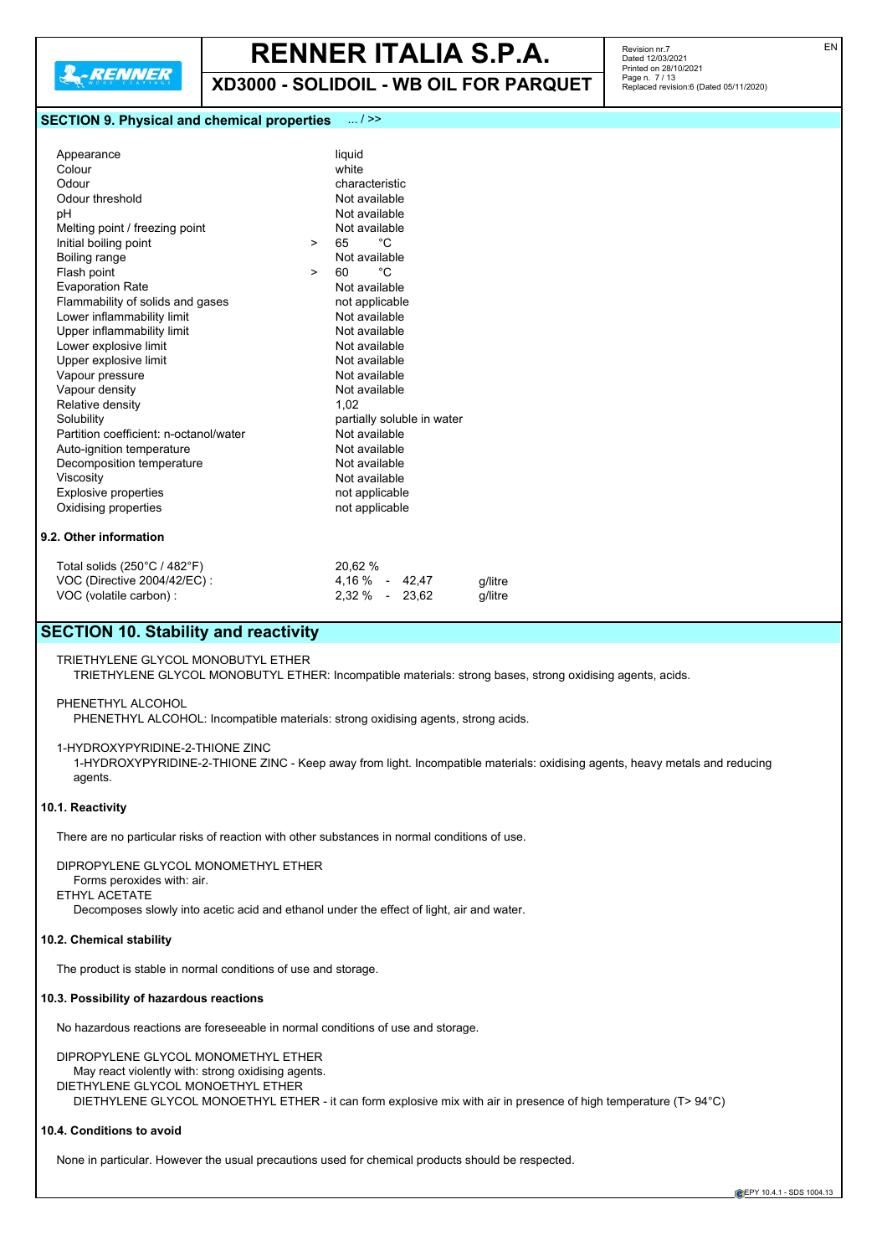**XD3000 - SOLIDOIL - WB OIL FOR PARQUET**

### **SECTION 9. Physical and chemical properties** ... / >>

| Appearance<br>Colour<br>Odour<br>Odour threshold |        | liquid<br>white<br>characteristic<br>Not available |
|--------------------------------------------------|--------|----------------------------------------------------|
| рH                                               |        | Not available                                      |
| Melting point / freezing point                   |        | Not available                                      |
| Initial boiling point                            | $\geq$ | °€<br>65                                           |
| Boiling range                                    |        | Not available                                      |
| Flash point                                      | $\geq$ | °C.<br>60                                          |
| <b>Evaporation Rate</b>                          |        | Not available                                      |
| Flammability of solids and gases                 |        | not applicable                                     |
| Lower inflammability limit                       |        | Not available                                      |
| Upper inflammability limit                       |        | Not available                                      |
| Lower explosive limit                            |        | Not available                                      |
| Upper explosive limit                            |        | Not available                                      |
| Vapour pressure                                  |        | Not available                                      |
| Vapour density                                   |        | Not available                                      |
| Relative density                                 |        | 1.02                                               |
| Solubility                                       |        | partially soluble in water                         |
| Partition coefficient: n-octanol/water           |        | Not available                                      |
| Auto-ignition temperature                        |        | Not available                                      |
| Decomposition temperature                        |        | Not available                                      |
| Viscosity                                        |        | Not available                                      |
| Explosive properties                             |        | not applicable                                     |
| Oxidising properties                             |        | not applicable                                     |
|                                                  |        |                                                    |

### **9.2. Other information**

| Total solids (250°C / 482°F)   | 20.62 %          |         |
|--------------------------------|------------------|---------|
| VOC (Directive $2004/42/EC$ ): | $4.16\% - 42.47$ | a/litre |
| VOC (volatile carbon):         | $2.32\% - 23.62$ | q/litre |

## **SECTION 10. Stability and reactivity**

### TRIETHYLENE GLYCOL MONOBUTYL ETHER

TRIETHYLENE GLYCOL MONOBUTYL ETHER: Incompatible materials: strong bases, strong oxidising agents, acids.

### PHENETHYL ALCOHOL

PHENETHYL ALCOHOL: Incompatible materials: strong oxidising agents, strong acids.

### 1-HYDROXYPYRIDINE-2-THIONE ZINC

1-HYDROXYPYRIDINE-2-THIONE ZINC - Keep away from light. Incompatible materials: oxidising agents, heavy metals and reducing agents.

### **10.1. Reactivity**

There are no particular risks of reaction with other substances in normal conditions of use.

DIPROPYLENE GLYCOL MONOMETHYL ETHER

- Forms peroxides with: air.
- ETHYL ACETATE

Decomposes slowly into acetic acid and ethanol under the effect of light, air and water.

### **10.2. Chemical stability**

The product is stable in normal conditions of use and storage.

### **10.3. Possibility of hazardous reactions**

No hazardous reactions are foreseeable in normal conditions of use and storage.

DIPROPYLENE GLYCOL MONOMETHYL ETHER May react violently with: strong oxidising agents. DIETHYLENE GLYCOL MONOETHYL ETHER DIETHYLENE GLYCOL MONOETHYL ETHER - it can form explosive mix with air in presence of high temperature (T> 94°C)

### **10.4. Conditions to avoid**

None in particular. However the usual precautions used for chemical products should be respected.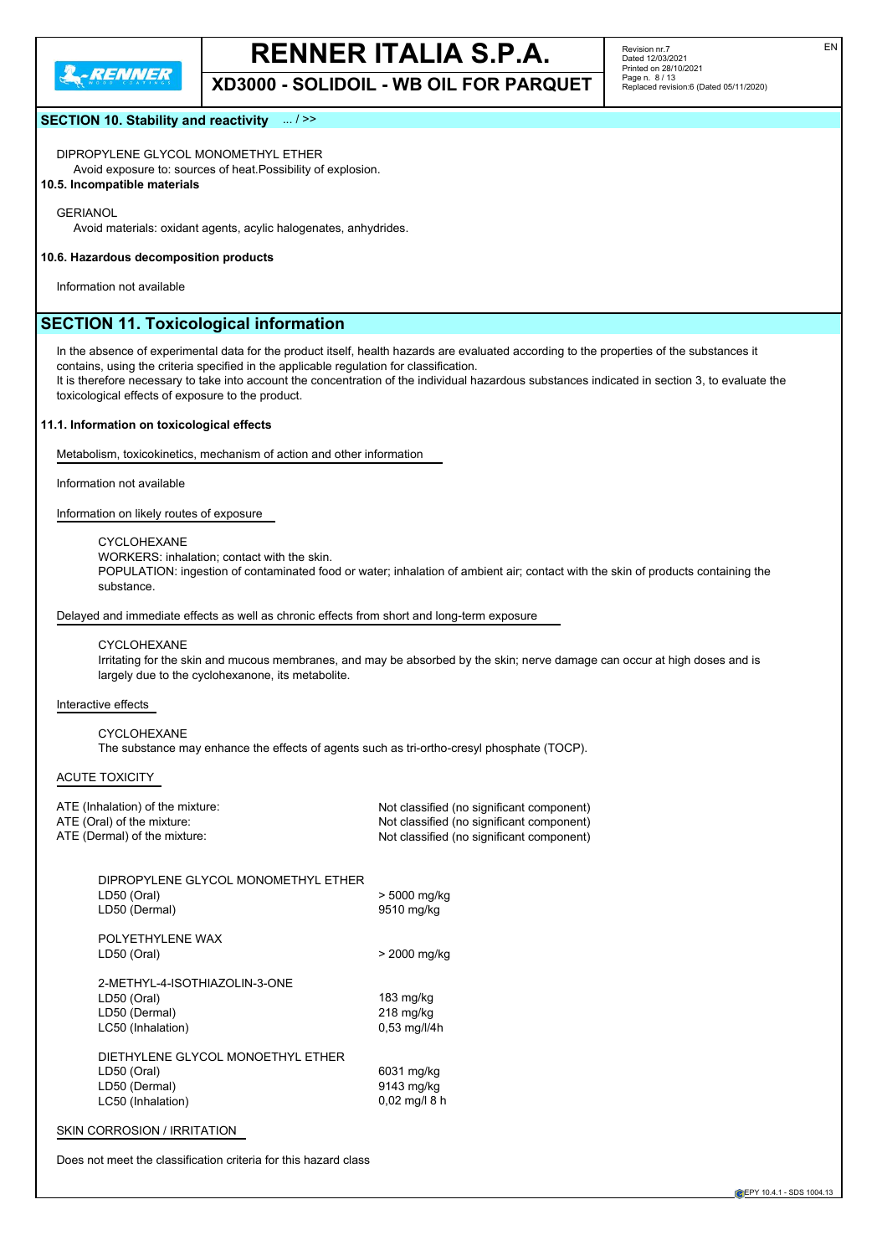

**XD3000 - SOLIDOIL - WB OIL FOR PARQUET**

Revision nr.7 Dated 12/03/2021 Printed on 28/10/2021 Page n. 8 / 13 Replaced revision:6 (Dated 05/11/2020)

### **SECTION 10. Stability and reactivity** ... / >>

DIPROPYLENE GLYCOL MONOMETHYL ETHER

Avoid exposure to: sources of heat.Possibility of explosion.

### **10.5. Incompatible materials**

GERIANOL

Avoid materials: oxidant agents, acylic halogenates, anhydrides.

### **10.6. Hazardous decomposition products**

Information not available

## **SECTION 11. Toxicological information**

In the absence of experimental data for the product itself, health hazards are evaluated according to the properties of the substances it contains, using the criteria specified in the applicable regulation for classification.

It is therefore necessary to take into account the concentration of the individual hazardous substances indicated in section 3, to evaluate the toxicological effects of exposure to the product.

### **11.1. Information on toxicological effects**

Metabolism, toxicokinetics, mechanism of action and other information

Information not available

Information on likely routes of exposure

CYCLOHEXANE WORKERS: inhalation; contact with the skin.

POPULATION: ingestion of contaminated food or water; inhalation of ambient air; contact with the skin of products containing the substance.

Delayed and immediate effects as well as chronic effects from short and long-term exposure

CYCLOHEXANE

Irritating for the skin and mucous membranes, and may be absorbed by the skin; nerve damage can occur at high doses and is largely due to the cyclohexanone, its metabolite.

### Interactive effects

CYCLOHEXANE The substance may enhance the effects of agents such as tri-ortho-cresyl phosphate (TOCP).

### ACUTE TOXICITY

| ATE (Inhalation) of the mixture: | Not classified (no significant component) |
|----------------------------------|-------------------------------------------|
| ATE (Oral) of the mixture:       | Not classified (no significant component) |
| ATE (Dermal) of the mixture: .   | Not classified (no significant component) |

| DIPROPYLENE GLYCOL MONOMETHYL ETHER<br>LD50 (Oral)<br>LD50 (Dermal)                    | > 5000 mg/kg<br>9510 mg/kg                           |
|----------------------------------------------------------------------------------------|------------------------------------------------------|
| POI YFTHYL FNF WAX<br>LD50 (Oral)                                                      | > 2000 mg/kg                                         |
| 2-METHYL-4-ISOTHIAZOLIN-3-ONE<br>LD50 (Oral)<br>LD50 (Dermal)<br>LC50 (Inhalation)     | $183 \text{ mg/kg}$<br>$218$ mg/kg<br>$0.53$ mg/l/4h |
| DIETHYLENE GLYCOL MONOETHYL ETHER<br>LD50 (Oral)<br>LD50 (Dermal)<br>LC50 (Inhalation) | 6031 mg/kg<br>9143 mg/kg<br>$0.02$ mg/l 8 h          |

### SKIN CORROSION / IRRITATION

Does not meet the classification criteria for this hazard class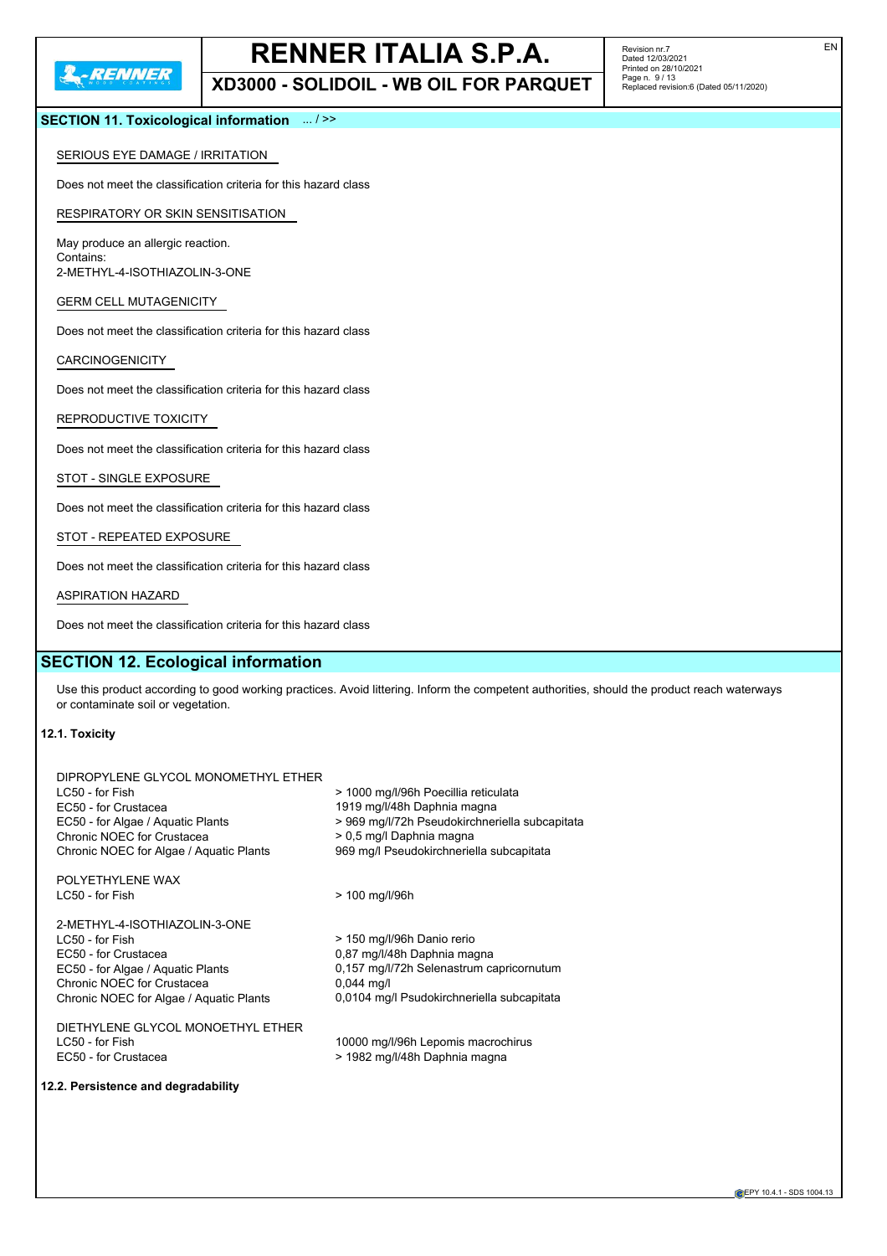**XD3000 - SOLIDOIL - WB OIL FOR PARQUET**

Revision nr.7 Dated 12/03/2021 Printed on 28/10/2021 Page n. 9 / 13 Replaced revision:6 (Dated 05/11/2020) EN

### **SECTION 11. Toxicological information** ... / >>

### SERIOUS EYE DAMAGE / IRRITATION

Does not meet the classification criteria for this hazard class

### RESPIRATORY OR SKIN SENSITISATION

May produce an allergic reaction. Contains: 2-METHYL-4-ISOTHIAZOLIN-3-ONE

### GERM CELL MUTAGENICITY

Does not meet the classification criteria for this hazard class

### CARCINOGENICITY

Does not meet the classification criteria for this hazard class

REPRODUCTIVE TOXICITY

Does not meet the classification criteria for this hazard class

STOT - SINGLE EXPOSURE

Does not meet the classification criteria for this hazard class

STOT - REPEATED EXPOSURE

Does not meet the classification criteria for this hazard class

ASPIRATION HAZARD

Does not meet the classification criteria for this hazard class

## **SECTION 12. Ecological information**

Use this product according to good working practices. Avoid littering. Inform the competent authorities, should the product reach waterways or contaminate soil or vegetation.

### **12.1. Toxicity**

| DIPROPYLENE GLYCOL MONOMETHYL ETHER<br>LC50 - for Fish<br>EC50 - for Crustacea<br>EC50 - for Algae / Aquatic Plants<br>Chronic NOEC for Crustacea<br>Chronic NOEC for Algae / Aguatic Plants | > 1000 mg/l/96h Poecillia reticulata<br>1919 mg/l/48h Daphnia magna<br>> 969 mg/l/72h Pseudokirchneriella subcapitata<br>> 0.5 mg/l Daphnia magna<br>969 mg/l Pseudokirchneriella subcapitata |
|----------------------------------------------------------------------------------------------------------------------------------------------------------------------------------------------|-----------------------------------------------------------------------------------------------------------------------------------------------------------------------------------------------|
| POLYETHYLENE WAX<br>LC50 - for Fish                                                                                                                                                          | > 100 mg/l/96h                                                                                                                                                                                |
| 2-METHYL-4-ISOTHIAZOLIN-3-ONE<br>LC50 - for Fish<br>EC50 - for Crustacea<br>EC50 - for Algae / Aguatic Plants<br>Chronic NOEC for Crustacea<br>Chronic NOEC for Algae / Aguatic Plants       | > 150 mg/l/96h Danio rerio<br>0,87 mg/l/48h Daphnia magna<br>0.157 mg/l/72h Selenastrum capricornutum<br>$0,044 \text{ mq/l}$<br>0,0104 mg/l Psudokirchneriella subcapitata                   |
| DIETHYLENE GLYCOL MONOETHYL ETHER                                                                                                                                                            |                                                                                                                                                                                               |

LC50 - for Fish 10000 mg/l/96h Lepomis macrochirus EC50 - for Crustacea <br>  $\frac{1}{2}$  > 1982 mg/l/48h Daphnia magna

### **12.2. Persistence and degradability**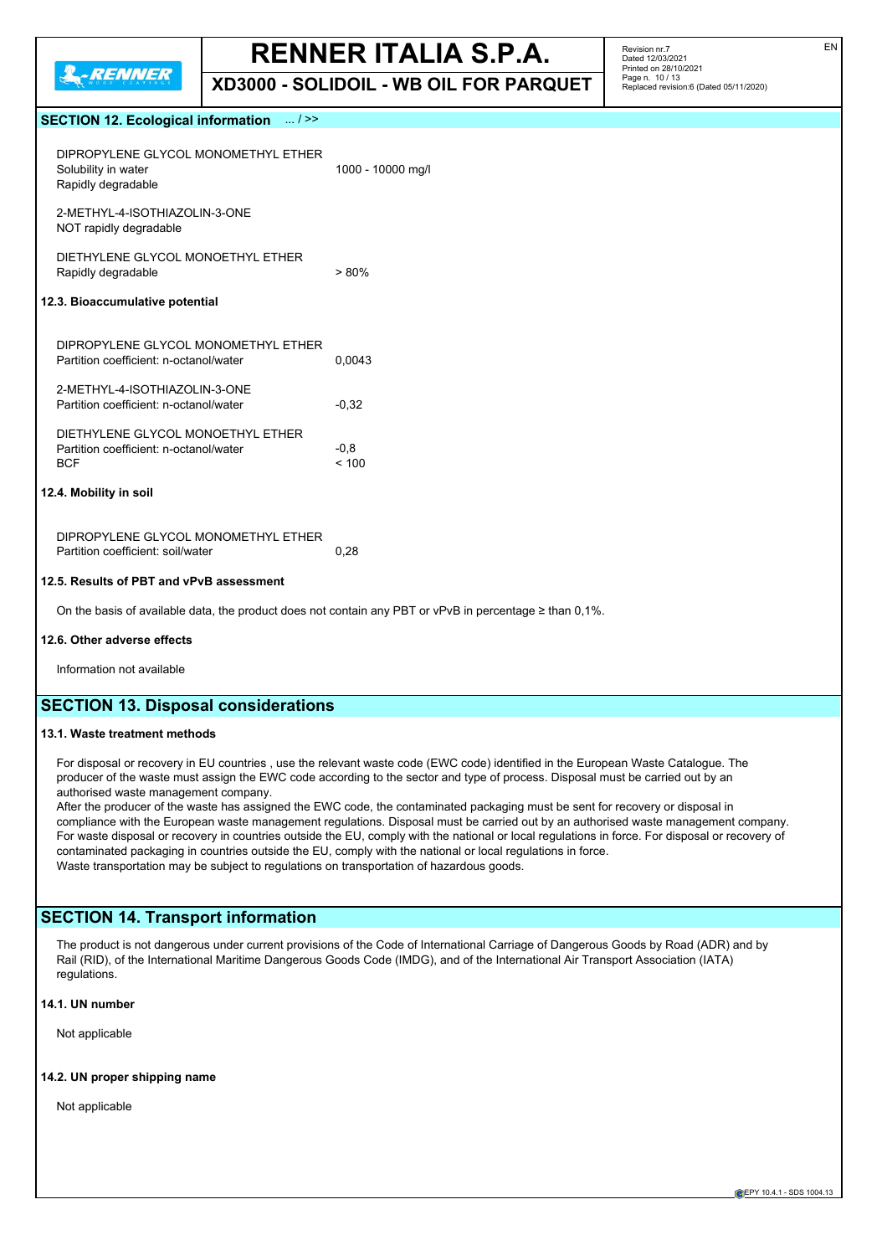

**XD3000 - SOLIDOIL - WB OIL FOR PARQUET**

Revision nr.7 Dated 12/03/2021 Printed on 28/10/2021 Page n. 10 / 13 Replaced revision:6 (Dated 05/11/2020)

### **SECTION 12. Ecological information** ... / >>

|                        | DIPROPYLENE GLYCOL MONOMETHYL FTHER<br>Solubility in water<br>Rapidly degradable          | 1000 - 10000 mg/l |
|------------------------|-------------------------------------------------------------------------------------------|-------------------|
|                        | 2-METHYL-4-ISOTHIAZOLIN-3-ONE<br>NOT rapidly degradable                                   |                   |
|                        | DIFTHYLENE GLYCOL MONOFTHYL FTHER<br>Rapidly degradable                                   | $> 80\%$          |
|                        | 12.3. Bioaccumulative potential                                                           |                   |
|                        | DIPROPYLENE GLYCOL MONOMETHYL FTHER<br>Partition coefficient: n-octanol/water             | 0.0043            |
|                        | 2-METHYL-4-ISOTHIAZOLIN-3-ONE<br>Partition coefficient: n-octanol/water                   | $-0.32$           |
|                        | DIETHYLENE GLYCOL MONOETHYL ETHER<br>Partition coefficient: n-octanol/water<br><b>BCF</b> | $-0.8$<br>< 100   |
| 12.4. Mobility in soil |                                                                                           |                   |
|                        |                                                                                           |                   |

DIPROPYLENE GLYCOL MONOMETHYL ETHER Partition coefficient: soil/water 0,28

### **12.5. Results of PBT and vPvB assessment**

On the basis of available data, the product does not contain any PBT or vPvB in percentage ≥ than 0,1%.

### **12.6. Other adverse effects**

Information not available

## **SECTION 13. Disposal considerations**

### **13.1. Waste treatment methods**

For disposal or recovery in EU countries , use the relevant waste code (EWC code) identified in the European Waste Catalogue. The producer of the waste must assign the EWC code according to the sector and type of process. Disposal must be carried out by an authorised waste management company.

After the producer of the waste has assigned the EWC code, the contaminated packaging must be sent for recovery or disposal in compliance with the European waste management regulations. Disposal must be carried out by an authorised waste management company. For waste disposal or recovery in countries outside the EU, comply with the national or local regulations in force. For disposal or recovery of contaminated packaging in countries outside the EU, comply with the national or local regulations in force. Waste transportation may be subject to regulations on transportation of hazardous goods.

## **SECTION 14. Transport information**

The product is not dangerous under current provisions of the Code of International Carriage of Dangerous Goods by Road (ADR) and by Rail (RID), of the International Maritime Dangerous Goods Code (IMDG), and of the International Air Transport Association (IATA) regulations.

### **14.1. UN number**

Not applicable

### **14.2. UN proper shipping name**

Not applicable

EN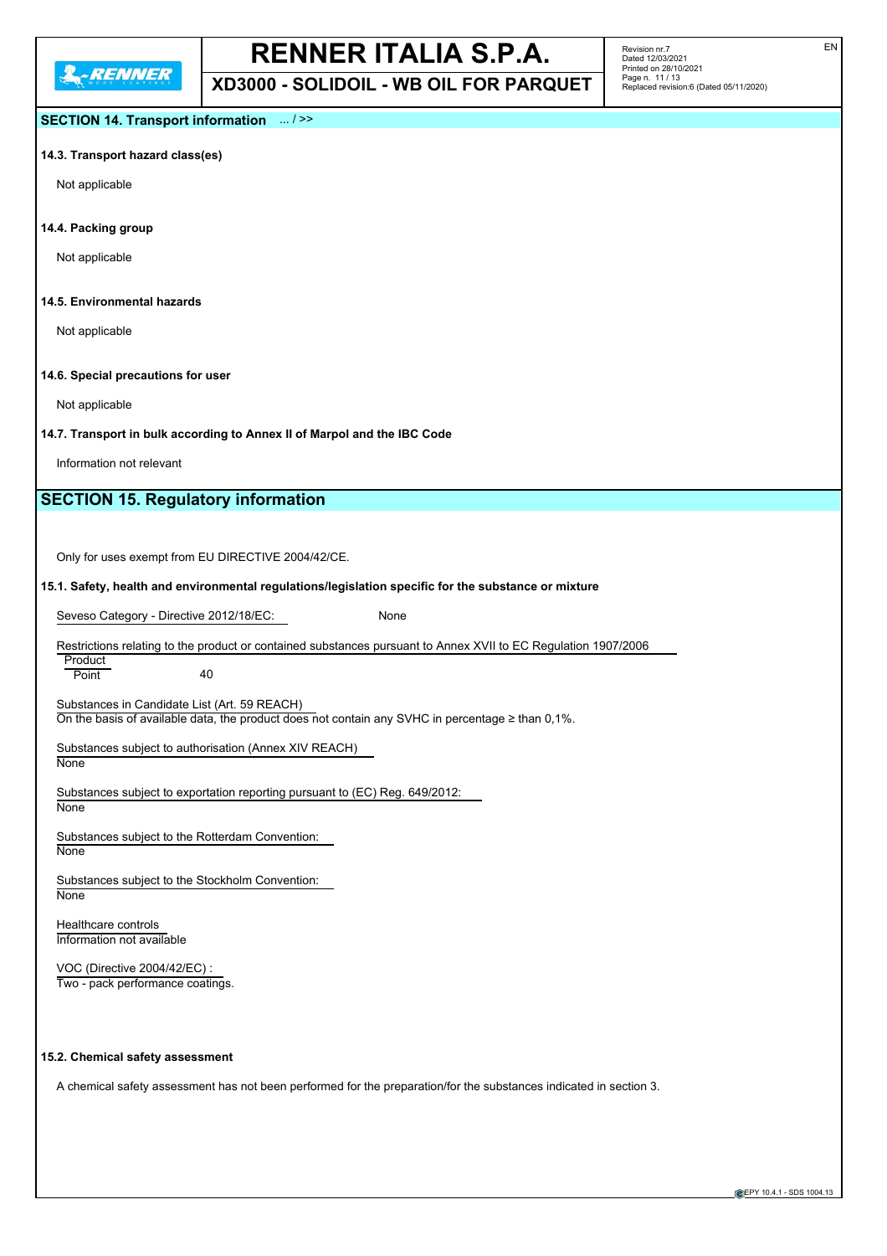**XD3000 - SOLIDOIL - WB OIL FOR PARQUET**

## **SECTION 14. Transport information** ... / >>

### **14.3. Transport hazard class(es)**

Not applicable

**14.4. Packing group**

Not applicable

### **14.5. Environmental hazards**

Not applicable

### **14.6. Special precautions for user**

Not applicable

### **14.7. Transport in bulk according to Annex II of Marpol and the IBC Code**

Information not relevant

## **SECTION 15. Regulatory information**

Only for uses exempt from EU DIRECTIVE 2004/42/CE.

### **15.1. Safety, health and environmental regulations/legislation specific for the substance or mixture**

Seveso Category - Directive 2012/18/EC: None

### Restrictions relating to the product or contained substances pursuant to Annex XVII to EC Regulation 1907/2006

**Product** Point 40

Substances in Candidate List (Art. 59 REACH) On the basis of available data, the product does not contain any SVHC in percentage  $\geq$  than 0,1%.

Substances subject to authorisation (Annex XIV REACH)

### **None**

Substances subject to exportation reporting pursuant to (EC) Reg. 649/2012: **None** 

Substances subject to the Rotterdam Convention: **None** 

Substances subject to the Stockholm Convention: **None** 

Healthcare controls Information not available

### VOC (Directive 2004/42/EC) : Two - pack performance coatings.

#### **15.2. Chemical safety assessment**

A chemical safety assessment has not been performed for the preparation/for the substances indicated in section 3.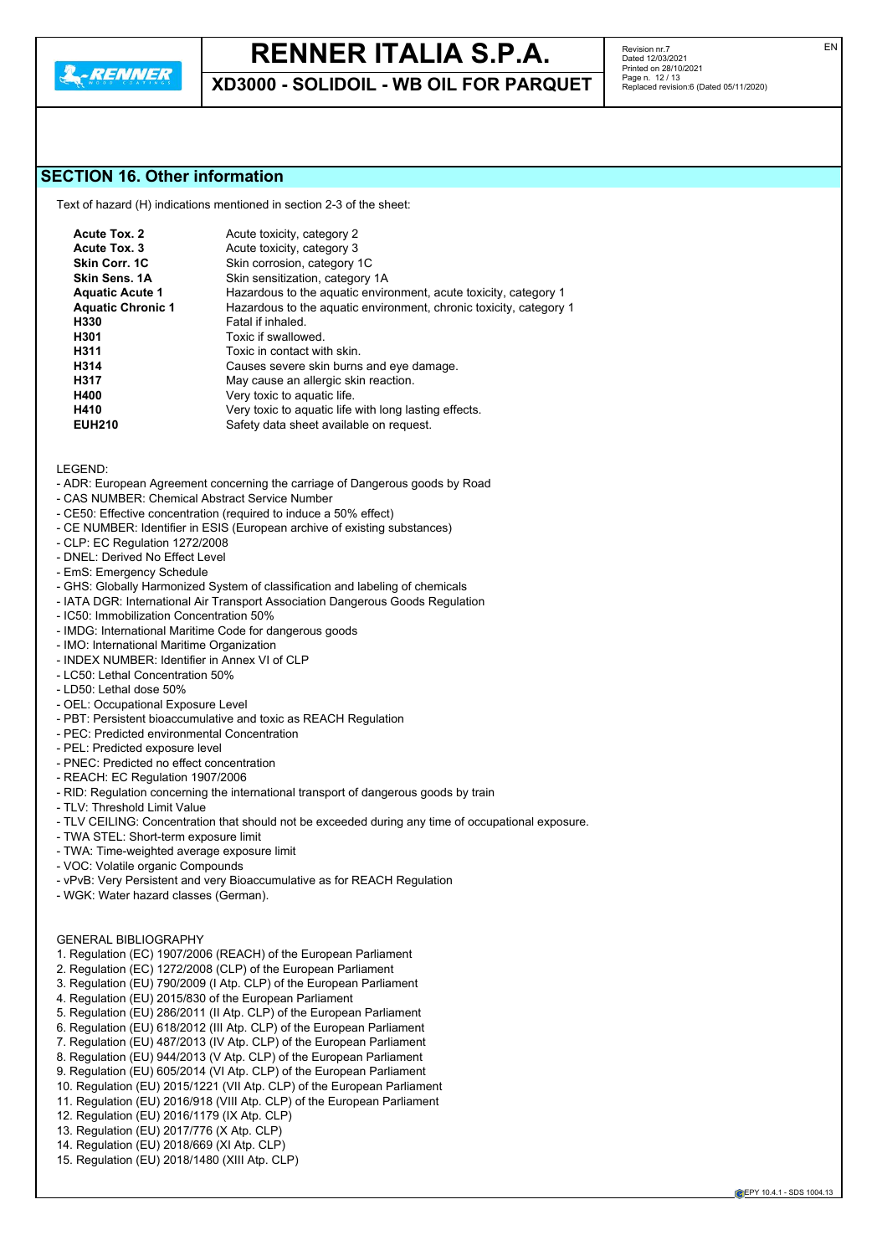

**XD3000 - SOLIDOIL - WB OIL FOR PARQUET**

Revision nr.7 Dated 12/03/2021 Printed on 28/10/2021 Page n. 12 / 13 Replaced revision:6 (Dated 05/11/2020)

## **SECTION 16. Other information**

Text of hazard (H) indications mentioned in section 2-3 of the sheet:

| <b>Acute Tox. 2</b><br>Acute Tox. 3 | Acute toxicity, category 2<br>Acute toxicity, category 3           |
|-------------------------------------|--------------------------------------------------------------------|
| Skin Corr. 1C                       | Skin corrosion, category 1C                                        |
| <b>Skin Sens, 1A</b>                | Skin sensitization, category 1A                                    |
| <b>Aquatic Acute 1</b>              | Hazardous to the aquatic environment, acute toxicity, category 1   |
| <b>Aquatic Chronic 1</b>            | Hazardous to the aquatic environment, chronic toxicity, category 1 |
| H330                                | Fatal if inhaled.                                                  |
| H301                                | Toxic if swallowed.                                                |
| H311                                | Toxic in contact with skin.                                        |
| H314                                | Causes severe skin burns and eye damage.                           |
| H317                                | May cause an allergic skin reaction.                               |
| H400                                | Very toxic to aquatic life.                                        |
| H410                                | Very toxic to aquatic life with long lasting effects.              |
| <b>EUH210</b>                       | Safety data sheet available on request.                            |

LEGEND:

- ADR: European Agreement concerning the carriage of Dangerous goods by Road
- CAS NUMBER: Chemical Abstract Service Number
- CE50: Effective concentration (required to induce a 50% effect)
- CE NUMBER: Identifier in ESIS (European archive of existing substances)
- CLP: EC Regulation 1272/2008
- DNEL: Derived No Effect Level
- EmS: Emergency Schedule
- GHS: Globally Harmonized System of classification and labeling of chemicals
- IATA DGR: International Air Transport Association Dangerous Goods Regulation
- IC50: Immobilization Concentration 50%
- IMDG: International Maritime Code for dangerous goods
- IMO: International Maritime Organization
- INDEX NUMBER: Identifier in Annex VI of CLP
- LC50: Lethal Concentration 50%
- LD50: Lethal dose 50%
- OEL: Occupational Exposure Level
- PBT: Persistent bioaccumulative and toxic as REACH Regulation
- PEC: Predicted environmental Concentration
- PEL: Predicted exposure level
- PNEC: Predicted no effect concentration
- REACH: EC Regulation 1907/2006
- RID: Regulation concerning the international transport of dangerous goods by train
- TLV: Threshold Limit Value
- TLV CEILING: Concentration that should not be exceeded during any time of occupational exposure.
- TWA STEL: Short-term exposure limit
- TWA: Time-weighted average exposure limit
- VOC: Volatile organic Compounds
- vPvB: Very Persistent and very Bioaccumulative as for REACH Regulation
- WGK: Water hazard classes (German).

### GENERAL BIBLIOGRAPHY

- 1. Regulation (EC) 1907/2006 (REACH) of the European Parliament
- 2. Regulation (EC) 1272/2008 (CLP) of the European Parliament
- 3. Regulation (EU) 790/2009 (I Atp. CLP) of the European Parliament
- 4. Regulation (EU) 2015/830 of the European Parliament
- 5. Regulation (EU) 286/2011 (II Atp. CLP) of the European Parliament
- 6. Regulation (EU) 618/2012 (III Atp. CLP) of the European Parliament
- 7. Regulation (EU) 487/2013 (IV Atp. CLP) of the European Parliament
- 8. Regulation (EU) 944/2013 (V Atp. CLP) of the European Parliament
- 9. Regulation (EU) 605/2014 (VI Atp. CLP) of the European Parliament
- 10. Regulation (EU) 2015/1221 (VII Atp. CLP) of the European Parliament
- 11. Regulation (EU) 2016/918 (VIII Atp. CLP) of the European Parliament
- 12. Regulation (EU) 2016/1179 (IX Atp. CLP)
- 13. Regulation (EU) 2017/776 (X Atp. CLP)
- 14. Regulation (EU) 2018/669 (XI Atp. CLP)
- 15. Regulation (EU) 2018/1480 (XIII Atp. CLP)